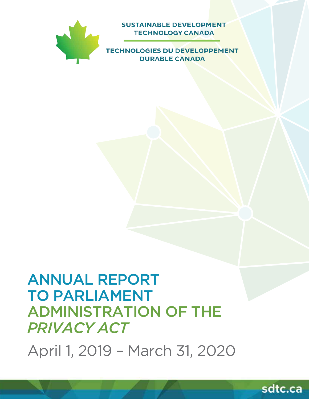

**SUSTAINABLE DEVELOPMENT TECHNOLOGY CANADA** 

**TECHNOLOGIES DU DEVELOPPEMENT DURABLE CANADA** 

# ANNUAL REPORT TO PARLIAMENT ADMINISTRATION OF THE *PRIVACY ACT*

April 1, 2019 – March 31, 2020

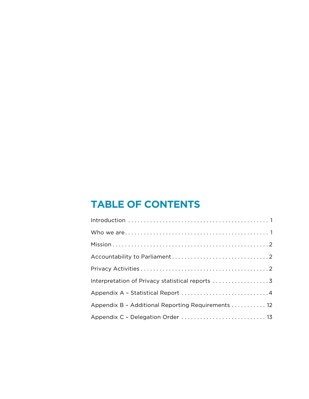# **TABLE OF CONTENTS**

| Appendix B - Additional Reporting Requirements 12 |
|---------------------------------------------------|
| Appendix C - Delegation Order  13                 |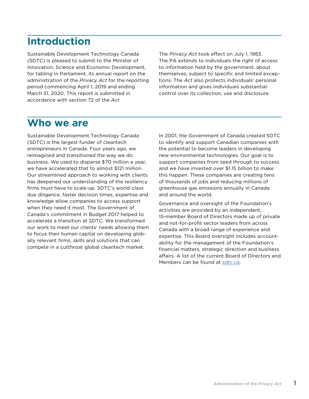# <span id="page-2-0"></span>**Introduction**

Sustainable Development Technology Canada (SDTC) is pleased to submit to the Minister of Innovation, Science and Economic Development, for tabling in Parliament, its annual report on the administration of the *Privacy Act* for the reporting period commencing April 1, 2019 and ending March 31, 2020. This report is submitted in accordance with section 72 of the *Act*.

The *Privacy Act* took effect on July 1, 1983. The PA extends to individuals the right of access to information held by the government, about themselves, subject to specific and limited exceptions. The *Act* also protects individuals' personal information and gives individuals substantial control over its collection, use and disclosure.

# **Who we are**

Sustainable Development Technology Canada (SDTC) is the largest funder of cleantech entrepreneurs in Canada. Four years ago, we reimagined and transitioned the way we do business. We used to disperse \$70 million a year, we have accelerated that to almost \$121 million. Our streamlined approach to working with clients has deepened our understanding of the resiliency firms must have to scale-up. SDTC's world-class due diligence, faster decision times, expertise and knowledge allow companies to access support when they need it most. The Government of Canada's commitment in Budget 2017 helped to accelerate a transition at SDTC. We transformed our work to meet our clients' needs allowing them to focus their human capital on developing globally relevant firms, skills and solutions that can compete in a cutthroat global cleantech market.

In 2001, the Government of Canada created SDTC to identify and support Canadian companies with the potential to become leaders in developing new environmental technologies. Our goal is to support companies from seed through to success and we have invested over \$1.15 billion to make this happen. These companies are creating tens of thousands of jobs and reducing millions of greenhouse gas emissions annually in Canada and around the world.

Governance and oversight of the Foundation's activities are provided by an independent, 15-member Board of Directors made up of private and not-for-profit sector leaders from across Canada with a broad range of experience and expertise. This Board oversight includes accountability for the management of the Foundation's financial matters, strategic direction and business affairs. A list of the current Board of Directors and Members can be found at [sdtc.ca.](http://sdtc.ca)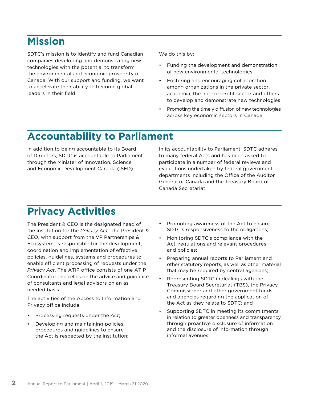# <span id="page-3-0"></span>**Mission**

SDTC's mission is to identify and fund Canadian companies developing and demonstrating new technologies with the potential to transform the environmental and economic prosperity of Canada. With our support and funding, we want to accelerate their ability to become global leaders in their field.

We do this by:

- Funding the development and demonstration of new environmental technologies
- Fostering and encouraging collaboration among organizations in the private sector, academia, the not-for-profit sector and others to develop and demonstrate new technologies
- Promoting the timely diffusion of new technologies across key economic sectors in Canada

# **Accountability to Parliament**

In addition to being accountable to its Board of Directors, SDTC is accountable to Parliament through the Minister of Innovation, Science and Economic Development Canada (ISED).

In its accountability to Parliament, SDTC adheres to many federal Acts and has been asked to participate in a number of federal reviews and evaluations undertaken by federal government departments including the Office of the Auditor General of Canada and the Treasury Board of Canada Secretariat.

# **Privacy Activities**

The President & CEO is the designated head of the institution for the *Privacy Act*. The President & CEO, with support from the VP Partnerships & Ecosystem, is responsible for the development, coordination and implementation of effective policies, guidelines, systems and procedures to enable efficient processing of requests under the *Privacy Act*. The ATIP office consists of one ATIP Coordinator and relies on the advice and guidance of consultants and legal advisors on an as needed basis.

The activities of the Access to Information and Privacy office include:

- Processing requests under the *Act*;
- Developing and maintaining policies, procedures and guidelines to ensure the Act is respected by the institution;
- Promoting awareness of the Act to ensure SDTC's responsiveness to the obligations;
- Monitoring SDTC's compliance with the Act, regulations and relevant procedures and policies;
- Preparing annual reports to Parliament and other statutory reports, as well as other material that may be required by central agencies;
- Representing SDTC in dealings with the Treasury Board Secretariat (TBS), the Privacy Commissioner and other government funds and agencies regarding the application of the Act as they relate to SDTC; and
- Supporting SDTC in meeting its commitments in relation to greater openness and transparency through proactive disclosure of information and the disclosure of information through informal avenues.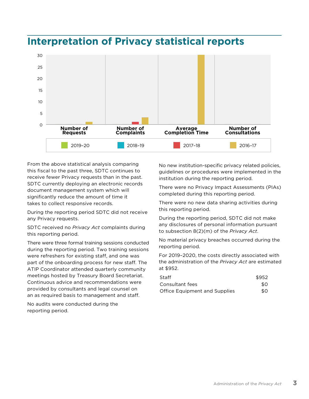

# <span id="page-4-0"></span>**Interpretation of Privacy statistical reports**

From the above statistical analysis comparing this fiscal to the past three, SDTC continues to receive fewer Privacy requests than in the past. SDTC currently deploying an electronic records document management system which will significantly reduce the amount of time it takes to collect responsive records.

During the reporting period SDTC did not receive any Privacy requests.

SDTC received no *Privacy Act* complaints during this reporting period.

There were three formal training sessions conducted during the reporting period. Two training sessions were refreshers for existing staff, and one was part of the onboarding process for new staff. The ATIP Coordinator attended quarterly community meetings hosted by Treasury Board Secretariat. Continuous advice and recommendations were provided by consultants and legal counsel on an as required basis to management and staff.

No audits were conducted during the reporting period.

No new institution-specific privacy related policies, guidelines or procedures were implemented in the institution during the reporting period.

There were no Privacy Impact Assessments (PIAs) completed during this reporting period.

There were no new data sharing activities during this reporting period.

During the reporting period, SDTC did not make any disclosures of personal information pursuant to subsection 8(2)(m) of the *Privacy Act*.

No material privacy breaches occurred during the reporting period.

For 2019–2020, the costs directly associated with the administration of the *Privacy Act* are estimated at \$952.

| Staff                                | \$952 |
|--------------------------------------|-------|
| Consultant fees                      | \$0   |
| <b>Office Equipment and Supplies</b> | \$0   |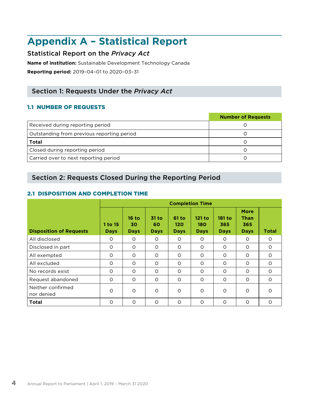# <span id="page-5-0"></span>**Appendix A – Statistical Report**

# Statistical Report on the *Privacy Act*

**Name of institution:** Sustainable Development Technology Canada

**Reporting period:** 2019–04–01 to 2020–03–31

# Section 1: Requests Under the *Privacy Act*

# 1.1 NUMBER OF REQUESTS

|                                            | <b>Number of Requests</b> |
|--------------------------------------------|---------------------------|
| Received during reporting period           |                           |
| Outstanding from previous reporting period |                           |
| <b>Total</b>                               |                           |
| Closed during reporting period             |                           |
| Carried over to next reporting period      |                           |

# Section 2: Requests Closed During the Reporting Period

# 2.1 DISPOSITION AND COMPLETION TIME

|                                 | <b>Completion Time</b> |                              |                            |                               |                              |                              |                                                  |          |
|---------------------------------|------------------------|------------------------------|----------------------------|-------------------------------|------------------------------|------------------------------|--------------------------------------------------|----------|
| <b>Disposition of Requests</b>  | 1 to 15<br><b>Days</b> | $16$ to<br>30<br><b>Days</b> | 31 to<br>60<br><b>Days</b> | $61$ to<br>120<br><b>Days</b> | 121 to<br>180<br><b>Days</b> | 181 to<br>365<br><b>Days</b> | <b>More</b><br><b>Than</b><br>365<br><b>Days</b> | Total    |
| All disclosed                   | $\circ$                | $\Omega$                     | $\circ$                    | $\circ$                       | $\Omega$                     | $\circ$                      | $\circ$                                          | $\circ$  |
| Disclosed in part               | $\circ$                | $\circ$                      | $\circ$                    | O                             | $\circ$                      | $\circ$                      | O                                                | O        |
| All exempted                    | $\circ$                | $\circ$                      | $\circ$                    | O                             | $\circ$                      | $\circ$                      | 0                                                | $\Omega$ |
| All excluded                    | $\circ$                | $\Omega$                     | $\circ$                    | $\circ$                       | $\Omega$                     | $\circ$                      | $\circ$                                          | $\circ$  |
| No records exist                | $\circ$                | $\circ$                      | $\circ$                    | $\circ$                       | $\circ$                      | $\circ$                      | O                                                | $\circ$  |
| Request abandoned               | $\circ$                | $\circ$                      | $\circ$                    | $\circ$                       | $\circ$                      | $\circ$                      | $\circ$                                          | $\circ$  |
| Neither confirmed<br>nor denied | $\circ$                | $\circ$                      | $\circ$                    | $\circ$                       | $\circ$                      | $\circ$                      | $\circ$                                          | $\circ$  |
| <b>Total</b>                    | $\circ$                | $\circ$                      | $\circ$                    | $\circ$                       | $\Omega$                     | $\circ$                      | $\circ$                                          | $\circ$  |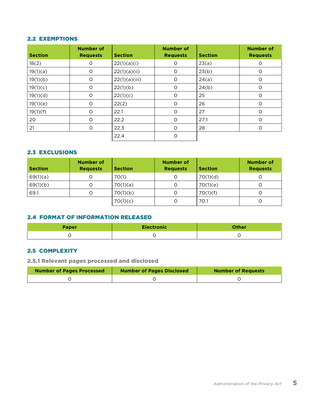#### 2.2 EXEMPTIONS

| <b>Section</b> | <b>Number of</b><br><b>Requests</b> | <b>Section</b> | <b>Number of</b><br><b>Requests</b> | <b>Section</b> | <b>Number of</b><br><b>Requests</b> |
|----------------|-------------------------------------|----------------|-------------------------------------|----------------|-------------------------------------|
| 18(2)          | $\circ$                             | 22(1)(a)(i)    | $\circ$                             | 23(a)          | 0                                   |
| 19(1)(a)       | $\circ$                             | 22(1)(a)(ii)   | $\circ$                             | 23(b)          | $\circ$                             |
| 19(1)(b)       | $\circ$                             | 22(1)(a)(iii)  | O                                   | 24(a)          | $\circ$                             |
| 19(1)(c)       | $\circ$                             | 22(1)(b)       | $\circ$                             | 24(b)          | O                                   |
| 19(1)(d)       | $\circ$                             | 22(1)(c)       | O                                   | 25             | O                                   |
| 19(1)(e)       | $\circ$                             | 22(2)          | O                                   | 26             | O                                   |
| 19(1)(f)       | $\circ$                             | 22.1           | $\circ$                             | 27             | O                                   |
| 20             | $\circ$                             | 22.2           | $\circ$                             | 27.1           | $\circ$                             |
| 21             | $\circ$                             | 22.3           | $\circ$                             | 28             | O                                   |
|                |                                     | 22.4           | O                                   |                |                                     |

### 2.3 EXCLUSIONS

| <b>Section</b> | Number of<br><b>Requests</b> | <b>Section</b> | <b>Number of</b><br><b>Requests</b> | <b>Section</b> | <b>Number of</b><br><b>Requests</b> |
|----------------|------------------------------|----------------|-------------------------------------|----------------|-------------------------------------|
| 69(1)(a)       | 0                            | 70(1)          |                                     | 70(1)(d)       |                                     |
| 69(1)(b)       | O                            | 70(1)(a)       | O                                   | 70(1)(e)       |                                     |
| 69.1           | O                            | 70(1)(b)       |                                     | 70(1)(f)       |                                     |
|                |                              | 70(1)(c)       |                                     | 70.1           | O                                   |

# 2.4 FORMAT OF INFORMATION RELEASED

| <b>Paper</b> | <b>Electronic</b> | Other |
|--------------|-------------------|-------|
|              |                   |       |

# 2.5 COMPLEXITY

2.5.1 Relevant pages processed and disclosed

| <b>Number of Pages Processed</b> | <b>Number of Pages Disclosed</b> | <b>Number of Requests</b> |
|----------------------------------|----------------------------------|---------------------------|
|                                  |                                  |                           |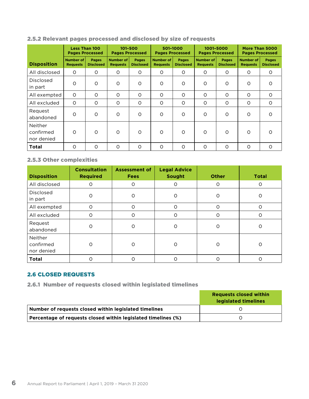### 2.5.2 Relevant pages processed and disclosed by size of requests

|                                    |                                     | <b>Less Than 100</b><br><b>Pages Processed</b> |                                     | 101-500<br><b>Pages Processed</b> |                                     | 501-1000<br><b>Pages Processed</b> |                                     | 1001-5000<br><b>Pages Processed</b> |                                     | More Than 5000<br><b>Pages Processed</b> |
|------------------------------------|-------------------------------------|------------------------------------------------|-------------------------------------|-----------------------------------|-------------------------------------|------------------------------------|-------------------------------------|-------------------------------------|-------------------------------------|------------------------------------------|
| <b>Disposition</b>                 | <b>Number of</b><br><b>Requests</b> | <b>Pages</b><br><b>Disclosed</b>               | <b>Number of</b><br><b>Requests</b> | Pages<br><b>Disclosed</b>         | <b>Number of</b><br><b>Requests</b> | <b>Pages</b><br><b>Disclosed</b>   | <b>Number of</b><br><b>Requests</b> | <b>Pages</b><br><b>Disclosed</b>    | <b>Number of</b><br><b>Requests</b> | <b>Pages</b><br><b>Disclosed</b>         |
| All disclosed                      | $\circ$                             | $\circ$                                        | $\circ$                             | 0                                 | $\circ$                             | $\circ$                            | $\circ$                             | $\circ$                             | O                                   | $\circ$                                  |
| <b>Disclosed</b><br>in part        | $\circ$                             | O                                              | $\circ$                             | $\circ$                           | O                                   | $\circ$                            | O                                   | $\circ$                             | $\circ$                             | $\circ$                                  |
| All exempted                       | $\circ$                             | $\circ$                                        | $\circ$                             | $\circ$                           | $\circ$                             | $\circ$                            | O                                   | $\circ$                             | $\circ$                             | $\circ$                                  |
| All excluded                       | $\circ$                             | O                                              | $\circ$                             | $\circ$                           | $\circ$                             | $\circ$                            | O                                   | O                                   | $\circ$                             | $\circ$                                  |
| Request<br>abandoned               | $\circ$                             | O                                              | $\circ$                             | $\circ$                           | $\circ$                             | O                                  | O                                   | $\circ$                             | $\circ$                             | $\circ$                                  |
| Neither<br>confirmed<br>nor denied | $\Omega$                            | $\circ$                                        | $\circ$                             | $\Omega$                          | $\circ$                             | $\Omega$                           | O                                   | $\circ$                             | $\Omega$                            | $\Omega$                                 |
| Total                              | $\Omega$                            | $\circ$                                        | $\circ$                             | $\Omega$                          | $\circ$                             | $\Omega$                           | O                                   | $\circ$                             | $\Omega$                            | $\circ$                                  |

# 2.5.3 Other complexities

| <b>Disposition</b>                 | <b>Consultation</b><br><b>Required</b> | <b>Assessment of</b><br><b>Fees</b> | <b>Legal Advice</b><br>Sought | <b>Other</b> | <b>Total</b> |
|------------------------------------|----------------------------------------|-------------------------------------|-------------------------------|--------------|--------------|
| All disclosed                      | $\circ$                                | O                                   | O                             | O            | O            |
| <b>Disclosed</b><br>in part        | $\circ$                                | O                                   | O                             | O            | O            |
| All exempted                       | $\circ$                                | $\circ$                             | $\Omega$                      | $\circ$      | $\circ$      |
| All excluded                       | $\circ$                                | O                                   | O                             | $\Omega$     | O            |
| Request<br>abandoned               | $\circ$                                | $\circ$                             | O                             | O            | O            |
| Neither<br>confirmed<br>nor denied | $\Omega$                               | Ω                                   | $\Omega$                      | Ω            | O            |
| <b>Total</b>                       | O                                      | റ                                   | ი                             | Ω            | ∩            |

### 2.6 CLOSED REQUESTS

2.6.1 Number of requests closed within legislated timelines

|                                                               | <b>Requests closed within</b><br>legislated timelines |
|---------------------------------------------------------------|-------------------------------------------------------|
| Number of requests closed within legislated timelines         |                                                       |
| Percentage of requests closed within legislated timelines (%) |                                                       |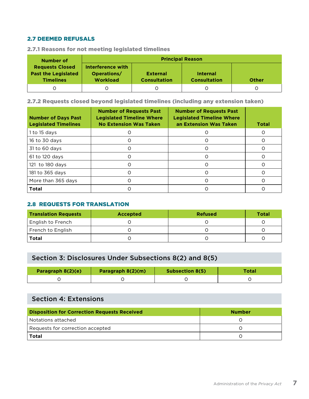### 2.7 DEEMED REFUSALS

| Number of                                                                | <b>Principal Reason</b>                             |                                                                                           |  |  |  |  |  |
|--------------------------------------------------------------------------|-----------------------------------------------------|-------------------------------------------------------------------------------------------|--|--|--|--|--|
| <b>Requests Closed</b><br><b>Past the Legislated</b><br><b>Timelines</b> | Interference with<br>Operations/<br><b>Workload</b> | <b>External</b><br><b>Internal</b><br><b>Consultation</b><br><b>Consultation</b><br>Other |  |  |  |  |  |
|                                                                          |                                                     |                                                                                           |  |  |  |  |  |

2.7.1 Reasons for not meeting legislated timelines

2.7.2 Requests closed beyond legislated timelines (including any extension taken)

| <b>Number of Days Past</b><br><b>Legislated Timelines</b> | <b>Number of Requests Past</b><br><b>Legislated Timeline Where</b><br><b>No Extension Was Taken</b> | <b>Number of Requests Past</b><br><b>Legislated Timeline Where</b><br>an Extension Was Taken | <b>Total</b> |
|-----------------------------------------------------------|-----------------------------------------------------------------------------------------------------|----------------------------------------------------------------------------------------------|--------------|
| 1 to 15 days                                              |                                                                                                     |                                                                                              |              |
| 16 to 30 days                                             |                                                                                                     |                                                                                              |              |
| 31 to 60 days                                             |                                                                                                     | $\left($                                                                                     |              |
| 61 to 120 days                                            |                                                                                                     |                                                                                              |              |
| 121 to 180 days                                           |                                                                                                     | Ω                                                                                            |              |
| 181 to 365 days                                           |                                                                                                     |                                                                                              |              |
| More than 365 days                                        |                                                                                                     |                                                                                              |              |
| <b>Total</b>                                              |                                                                                                     |                                                                                              |              |

### 2.8 REQUESTS FOR TRANSLATION

| <b>Translation Requests</b> | <b>Accepted</b> | <b>Refused</b> | <b>Total</b> |
|-----------------------------|-----------------|----------------|--------------|
| <b>English to French</b>    |                 |                |              |
| French to English           |                 |                |              |
| <b>Total</b>                |                 |                |              |

# Section 3: Disclosures Under Subsections 8(2) and 8(5)

| Paragraph 8(2)(e) | Paragraph 8(2)(m) | <b>Subsection 8(5)</b> | Total |
|-------------------|-------------------|------------------------|-------|
|                   |                   |                        |       |

# Section 4: Extensions

| <b>Disposition for Correction Requests Received</b> | <b>Number</b> |
|-----------------------------------------------------|---------------|
| Notations attached                                  |               |
| Requests for correction accepted                    |               |
| <b>Total</b>                                        |               |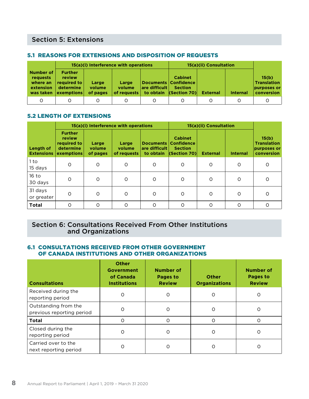# Section 5: Extensions

#### 5.1 REASONS FOR EXTENSIONS AND DISPOSITION OF REQUESTS

|                                                             |                                                                    |                             | 15(a)(i) Interference with operations |               | 15(a)(ii) Consultation                                                                 |                 |                 |                                                          |
|-------------------------------------------------------------|--------------------------------------------------------------------|-----------------------------|---------------------------------------|---------------|----------------------------------------------------------------------------------------|-----------------|-----------------|----------------------------------------------------------|
| Number of<br>requests<br>where an<br>extension<br>was taken | <b>Further</b><br>review<br>required to<br>determine<br>exemptions | Large<br>volume<br>of pages | Large<br>volume<br>of requests        | are difficult | <b>Cabinet</b><br>Documents   Confidence  <br><b>Section</b><br>to obtain (Section 70) | <b>External</b> | <b>Internal</b> | 15(b)<br><b>Translation</b><br>purposes or<br>conversion |
| Ω                                                           |                                                                    |                             |                                       |               |                                                                                        | O               |                 |                                                          |

### 5.2 LENGTH OF EXTENSIONS

|                                |                                                                           |                             | 15(a)(i) Interference with operations |                                         | 15(a)(ii) Consultation                                                        |                 |                 |                                                          |
|--------------------------------|---------------------------------------------------------------------------|-----------------------------|---------------------------------------|-----------------------------------------|-------------------------------------------------------------------------------|-----------------|-----------------|----------------------------------------------------------|
| Length of<br><b>Extensions</b> | <b>Further</b><br>review<br>required to<br>determine<br><b>exemptions</b> | Large<br>volume<br>of pages | Large<br>volume<br>of requests        | Documents<br>are difficult<br>to obtain | <b>Cabinet</b><br><b>Confidence</b><br><b>Section</b><br>$ $ (Section 70) $ $ | <b>External</b> | <b>Internal</b> | 15(b)<br><b>Translation</b><br>purposes or<br>conversion |
| 1 to<br>15 days                | $\circ$                                                                   | $\Omega$                    | $\circ$                               | $\circ$                                 | $\circ$                                                                       | $\circ$         | $\circ$         | $\circ$                                                  |
| $16$ to<br>30 days             | O                                                                         | $\circ$                     | $\circ$                               | $\Omega$                                | $\circ$                                                                       | $\circ$         | O               | O                                                        |
| 31 days<br>or greater          | O                                                                         | $\circ$                     | $\circ$                               | $\circ$                                 | $\circ$                                                                       | $\circ$         | O               | O                                                        |
| <b>Total</b>                   | O                                                                         | $\circ$                     | $\circ$                               | $\Omega$                                | $\circ$                                                                       | $\circ$         | O               | $\circ$                                                  |

## Section 6: Consultations Received From Other Institutions and Organizations

#### 6.1 CONSULTATIONS RECEIVED FROM OTHER GOVERNMENT OF CANADA INSTITUTIONS AND OTHER ORGANIZATIONS

| <b>Consultations</b>                              | Other<br><b>Government</b><br>of Canada<br><b>Institutions</b> | <b>Number of</b><br>Pages to<br><b>Review</b> | <b>Other</b><br><b>Organizations</b> | Number of<br>Pages to<br><b>Review</b> |
|---------------------------------------------------|----------------------------------------------------------------|-----------------------------------------------|--------------------------------------|----------------------------------------|
| Received during the<br>reporting period           | O                                                              |                                               | O                                    | O                                      |
| Outstanding from the<br>previous reporting period | O                                                              | Ω                                             | O                                    | Ő                                      |
| <b>Total</b>                                      | Ω                                                              |                                               | O                                    | Ω                                      |
| Closed during the<br>reporting period             | O                                                              |                                               | O                                    |                                        |
| Carried over to the<br>next reporting period      | O                                                              |                                               | $\Omega$                             | Ω                                      |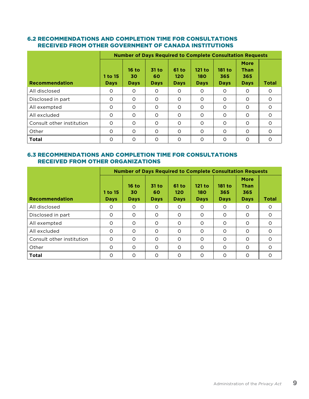### 6.2 RECOMMENDATIONS AND COMPLETION TIME FOR CONSULTATIONS RECEIVED FROM OTHER GOVERNMENT OF CANADA INSTITUTIONS

|                           |                        | <b>Number of Days Required to Complete Consultation Requests</b> |                            |                                    |                              |                              |                                                  |              |  |  |  |
|---------------------------|------------------------|------------------------------------------------------------------|----------------------------|------------------------------------|------------------------------|------------------------------|--------------------------------------------------|--------------|--|--|--|
| <b>Recommendation</b>     | 1 to 15<br><b>Days</b> | $16$ to<br>30<br><b>Days</b>                                     | 31 to<br>60<br><b>Days</b> | <b>61 to</b><br>120<br><b>Days</b> | 121 to<br>180<br><b>Days</b> | 181 to<br>365<br><b>Days</b> | <b>More</b><br><b>Than</b><br>365<br><b>Days</b> | <b>Total</b> |  |  |  |
| All disclosed             | $\Omega$               | $\Omega$                                                         | 0                          | $\Omega$                           | $\Omega$                     | 0                            | $\Omega$                                         | $\Omega$     |  |  |  |
| Disclosed in part         | $\circ$                | $\circ$                                                          | O                          | $\circ$                            | $\circ$                      | O                            | $\circ$                                          | $\Omega$     |  |  |  |
| All exempted              | $\circ$                | $\Omega$                                                         | $\Omega$                   | $\Omega$                           | $\Omega$                     | $\Omega$                     | O                                                | $\circ$      |  |  |  |
| All excluded              | $\circ$                | $\Omega$                                                         | O                          | $\Omega$                           | $\Omega$                     | O                            | $\Omega$                                         | $\Omega$     |  |  |  |
| Consult other institution | $\circ$                | $\circ$                                                          | O                          | $\Omega$                           | $\circ$                      | O                            | $\Omega$                                         | $\circ$      |  |  |  |
| Other                     | $\circ$                | $\circ$                                                          | O                          | $\circ$                            | $\Omega$                     | O                            | $\circ$                                          | $\Omega$     |  |  |  |
| <b>Total</b>              | $\Omega$               | $\Omega$                                                         | O                          | $\Omega$                           | $\Omega$                     | O                            | $\Omega$                                         | $\Omega$     |  |  |  |

#### 6.3 RECOMMENDATIONS AND COMPLETION TIME FOR CONSULTATIONS RECEIVED FROM OTHER ORGANIZATIONS

|                           | <b>Number of Days Required to Complete Consultation Requests</b> |                              |                            |                             |                              |                              |                                                  |              |  |  |
|---------------------------|------------------------------------------------------------------|------------------------------|----------------------------|-----------------------------|------------------------------|------------------------------|--------------------------------------------------|--------------|--|--|
| <b>Recommendation</b>     | 1 to 15<br><b>Days</b>                                           | $16$ to<br>30<br><b>Days</b> | 31 to<br>60<br><b>Days</b> | 61 to<br>120<br><b>Days</b> | 121 to<br>180<br><b>Days</b> | 181 to<br>365<br><b>Days</b> | <b>More</b><br><b>Than</b><br>365<br><b>Days</b> | <b>Total</b> |  |  |
| All disclosed             | $\circ$                                                          | $\circ$                      | 0                          | $\circ$                     | $\circ$                      | 0                            | $\circ$                                          | $\Omega$     |  |  |
| Disclosed in part         | $\circ$                                                          | $\Omega$                     | O                          | $\Omega$                    | $\Omega$                     | O                            | $\Omega$                                         | $\Omega$     |  |  |
| All exempted              | O                                                                | $\circ$                      | O                          | $\circ$                     | $\circ$                      | O                            | O                                                | $\circ$      |  |  |
| All excluded              | $\circ$                                                          | $\circ$                      | O                          | $\circ$                     | $\circ$                      | O                            | $\Omega$                                         | $\circ$      |  |  |
| Consult other institution | $\Omega$                                                         | $\Omega$                     | O                          | $\Omega$                    | $\circ$                      | O                            | $\Omega$                                         | $\Omega$     |  |  |
| Other                     | $\circ$                                                          | $\circ$                      | O                          | $\Omega$                    | $\circ$                      | O                            | $\Omega$                                         | $\circ$      |  |  |
| <b>Total</b>              | $\circ$                                                          | $\Omega$                     | O                          | $\Omega$                    | $\Omega$                     | O                            | $\Omega$                                         | $\Omega$     |  |  |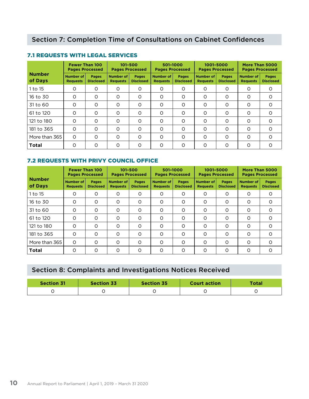|                          | <b>Fewer Than 100</b><br><b>Pages Processed</b> |                                  | 101-500<br><b>Pages Processed</b> |                           | 501-1000<br><b>Pages Processed</b> |                                  | 1001-5000<br><b>Pages Processed</b> |                                  | More Than 5000<br><b>Pages Processed</b> |                                  |
|--------------------------|-------------------------------------------------|----------------------------------|-----------------------------------|---------------------------|------------------------------------|----------------------------------|-------------------------------------|----------------------------------|------------------------------------------|----------------------------------|
| <b>Number</b><br>of Days | Number of<br><b>Requests</b>                    | <b>Pages</b><br><b>Disclosed</b> | Number of<br><b>Requests</b>      | Pages<br><b>Disclosed</b> | Number of<br><b>Requests</b>       | <b>Pages</b><br><b>Disclosed</b> | Number of<br><b>Requests</b>        | <b>Pages</b><br><b>Disclosed</b> | Number of<br><b>Requests</b>             | <b>Pages</b><br><b>Disclosed</b> |
| 1 to 15                  | O                                               | O                                | $\circ$                           | O                         | O                                  | $\circ$                          | O                                   | O                                | O                                        | $\circ$                          |
| 16 to 30                 | $\circ$                                         | $\circ$                          | $\circ$                           | O                         | $\circ$                            | $\circ$                          | O                                   | O                                | Ω                                        | $\circ$                          |
| 31 to 60                 | $\Omega$                                        | $\circ$                          | $\circ$                           | $\circ$                   | $\circ$                            | $\circ$                          | O                                   | O                                | Ω                                        | $\circ$                          |
| 61 to 120                | $\Omega$                                        | $\Omega$                         | $\Omega$                          | $\Omega$                  | $\Omega$                           | $\Omega$                         | $\Omega$                            | $\Omega$                         | Ω                                        | $\Omega$                         |
| 121 to 180               | $\Omega$                                        | $\circ$                          | $\circ$                           | $\Omega$                  | $\Omega$                           | $\circ$                          | $\circ$                             | O                                | Ω                                        | $\circ$                          |
| 181 to 365               | $\Omega$                                        | $\Omega$                         | $\circ$                           | $\Omega$                  | $\circ$                            | $\Omega$                         | $\circ$                             | O                                | Ω                                        | $\circ$                          |
| More than 365            | $\Omega$                                        | $\Omega$                         | $\Omega$                          | Ω                         | $\Omega$                           | $\Omega$                         | O                                   | O                                | $\Omega$                                 | $\Omega$                         |
| <b>Total</b>             | O                                               | O                                | $\circ$                           | Ω                         | O                                  | O                                | O                                   | O                                | Ω                                        | $\circ$                          |

### 7.1 REQUESTS WITH LEGAL SERVICES

# 7.2 REQUESTS WITH PRIVY COUNCIL OFFICE

|                          | <b>Fewer Than 100</b><br><b>Pages Processed</b> |                                  | $101 - 500$<br><b>Pages Processed</b> |                           | 501-1000<br><b>Pages Processed</b>  |                                  | 1001-5000<br><b>Pages Processed</b> |                                  | More Than 5000<br><b>Pages Processed</b> |                                  |
|--------------------------|-------------------------------------------------|----------------------------------|---------------------------------------|---------------------------|-------------------------------------|----------------------------------|-------------------------------------|----------------------------------|------------------------------------------|----------------------------------|
| <b>Number</b><br>of Days | Number of<br><b>Requests</b>                    | <b>Pages</b><br><b>Disclosed</b> | <b>Number of</b><br><b>Requests</b>   | Pages<br><b>Disclosed</b> | <b>Number of</b><br><b>Requests</b> | <b>Pages</b><br><b>Disclosed</b> | <b>Number of</b><br><b>Requests</b> | <b>Pages</b><br><b>Disclosed</b> | Number of<br><b>Requests</b>             | <b>Pages</b><br><b>Disclosed</b> |
| 1 to 15                  | O                                               | O                                | O                                     | 0                         | O                                   | O                                | O                                   | O                                | 0                                        | $\circ$                          |
| 16 to 30                 | $\Omega$                                        | $\circ$                          | $\circ$                               | O                         | $\circ$                             | $\circ$                          | O                                   | O                                | $\Omega$                                 | $\Omega$                         |
| 31 to 60                 | $\circ$                                         | $\circ$                          | O                                     | Ο                         | $\circ$                             | $\circ$                          | O                                   | O                                | O                                        | $\circ$                          |
| 61 to 120                | $\Omega$                                        | O                                | O                                     | $\Omega$                  | O                                   | $\Omega$                         | O                                   | O                                | $\Omega$                                 | $\Omega$                         |
| 121 to 180               | $\Omega$                                        | $\circ$                          | $\circ$                               | Ο                         | $\circ$                             | $\circ$                          | O                                   | O                                | O                                        | $\Omega$                         |
| 181 to 365               | $\Omega$                                        | $\Omega$                         | O                                     | $\Omega$                  | $\Omega$                            | $\Omega$                         | O                                   | O                                | $\Omega$                                 | $\Omega$                         |
| More than 365            | $\Omega$                                        | O                                | O                                     | Ω                         | O                                   | $\Omega$                         | O                                   | O                                | $\Omega$                                 | $\Omega$                         |
| <b>Total</b>             | $\Omega$                                        | O                                | O                                     | Ω                         | $\Omega$                            | $\Omega$                         | O                                   | O                                | $\Omega$                                 | $\Omega$                         |

# Section 8: Complaints and Investigations Notices Received

| <b>Section 31</b> | <b>Section 33</b> | <b>Section 35</b> | <b>Court action</b> | <b>Total</b> |
|-------------------|-------------------|-------------------|---------------------|--------------|
|                   |                   |                   |                     |              |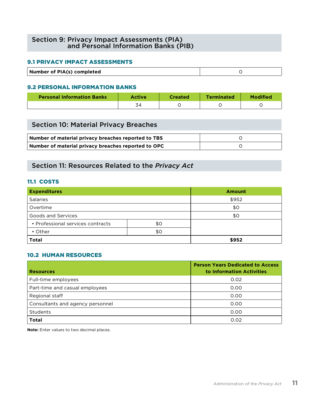### Section 9: Privacy Impact Assessments (PIA) and Personal Information Banks (PIB)

#### 9.1 PRIVACY IMPACT ASSESSMENTS

| Number of PIA(s) completed |  |
|----------------------------|--|

#### 9.2 PERSONAL INFORMATION BANKS

| <b>Personal Information Banks</b> | <b>Created</b> | <b>Terminated</b> |  |
|-----------------------------------|----------------|-------------------|--|
|                                   |                |                   |  |

| Section 10: Material Privacy Breaches               |  |
|-----------------------------------------------------|--|
| Number of material privacy breaches reported to TBS |  |
| Number of material privacy breaches reported to OPC |  |

# Section 11: Resources Related to the *Privacy Act*

#### 11.1 COSTS

| <b>Expenditures</b>               |     | <b>Amount</b> |  |
|-----------------------------------|-----|---------------|--|
| <b>Salaries</b>                   |     | \$952         |  |
| Overtime                          |     | \$0           |  |
| Goods and Services                |     | \$0           |  |
| • Professional services contracts | \$0 |               |  |
| $\cdot$ Other                     | \$0 |               |  |
| <b>Total</b>                      |     | \$952         |  |

#### 10.2 HUMAN RESOURCES

| <b>Resources</b>                 | <b>Person Years Dedicated to Access</b><br>to Information Activities |
|----------------------------------|----------------------------------------------------------------------|
| Full-time employees              | 0.02                                                                 |
| Part-time and casual employees   | 0.00                                                                 |
| Regional staff                   | 0.00                                                                 |
| Consultants and agency personnel | 0.00                                                                 |
| Students                         | 0.00                                                                 |
| <b>Total</b>                     | 0.02                                                                 |

**Note:** Enter values to two decimal places.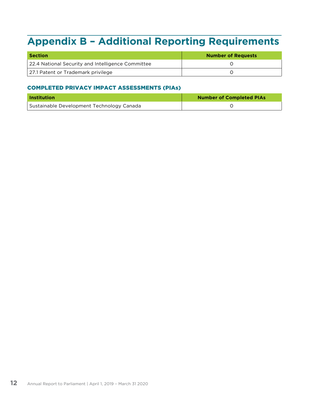# <span id="page-13-0"></span>**Appendix B – Additional Reporting Requirements**

| <b>Section</b>                                    | <b>Number of Requests</b> |  |  |
|---------------------------------------------------|---------------------------|--|--|
| 22.4 National Security and Intelligence Committee |                           |  |  |
| 27.1 Patent or Trademark privilege                |                           |  |  |

# COMPLETED PRIVACY IMPACT ASSESSMENTS (PIAs)

| <b>Institution</b>                        | <b>Number of Completed PIAs</b> |  |  |
|-------------------------------------------|---------------------------------|--|--|
| Sustainable Development Technology Canada |                                 |  |  |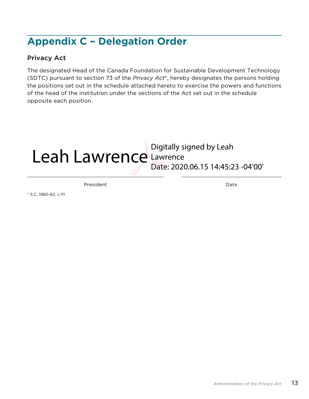# <span id="page-14-0"></span>**Appendix C – Delegation Order**

# Privacy Act

The designated Head of the Canada Foundation for Sustainable Development Technology (SDTC) pursuant to section 73 of the *Privacy Act*\*, hereby designates the persons holding the positions set out in the schedule attached hereto to exercise the powers and functions of the head of the institution under the sections of the Act set out in the schedule opposite each position.

# Digitally signed by Leah<br>Leah Lawrence Lawrence Lawrence Date: 2020.06.15 14:45:23 -04'00'

President Date

\* S.C. 1980-82, c.111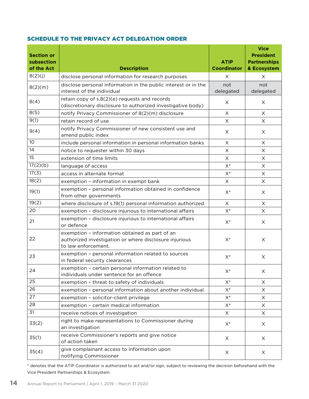#### SCHEDULE TO THE PRIVACY ACT DELEGATION ORDER

| <b>Section or</b><br>subsection<br>of the Act | <b>Description</b>                                                                                                              | <b>ATIP</b><br><b>Coordinator</b> | <b>Vice</b><br><b>President</b><br><b>Partnerships</b><br>& Ecosystem |
|-----------------------------------------------|---------------------------------------------------------------------------------------------------------------------------------|-----------------------------------|-----------------------------------------------------------------------|
| 8(2)(j)                                       | disclose personal information for research purposes                                                                             | X                                 | X                                                                     |
| 8(2)(m)                                       | disclose personal information in the public interest or in the<br>interest of the individual                                    | not<br>delegated                  | not<br>delegated                                                      |
| 8(4)                                          | retain copy of s.8(2)(e) requests and records<br>(discretionary disclosure to authorized investigative body)                    | X                                 | X                                                                     |
| 8(5)                                          | notify Privacy Commissioner of 8(2)(m) disclosure                                                                               | X                                 | X                                                                     |
| 9(1)                                          | retain record of use                                                                                                            | $\boldsymbol{\mathsf{X}}$         | X                                                                     |
| 9(4)                                          | notify Privacy Commissioner of new consistent use and<br>amend public index                                                     | X                                 | X                                                                     |
| 10 <sup>°</sup>                               | include personal information in personal information banks                                                                      | $\boldsymbol{\times}$             | X                                                                     |
| 14                                            | notice to requester within 30 days                                                                                              | X                                 | X                                                                     |
| 15                                            | extension of time limits                                                                                                        | X                                 | X                                                                     |
| 17(2)(b)                                      | language of access                                                                                                              | $\mathsf{X}^*$                    | X                                                                     |
| 17(3)                                         | access in alternate format                                                                                                      | $\mathsf{X}^*$                    | X                                                                     |
| 18(2)                                         | exemption - information in exempt bank                                                                                          | X                                 | $\times$                                                              |
| 19(1)                                         | exemption - personal information obtained in confidence<br>from other governments                                               | $\mathsf{X}^*$                    | X                                                                     |
| 19(2)                                         | where disclosure of s.19(1) personal information authorized                                                                     | $\boldsymbol{\times}$             | X                                                                     |
| 20                                            | exemption - disclosure injurious to international affairs                                                                       | $\mathsf{X}^*$                    | X                                                                     |
| 21                                            | exemption - disclosure injurious to international affairs<br>or defence                                                         | $\mathsf{X}^*$                    | X                                                                     |
| 22                                            | exemption - information obtained as part of an<br>authorized investigation or where disclosure injurious<br>to law enforcement. | $\mathsf{X}^*$                    | X                                                                     |
| 23                                            | exemption - personal information related to sources<br>in federal security clearances                                           | $\mathsf{X}^*$                    | X                                                                     |
| 24                                            | exemption - certain personal information related to<br>individuals under sentence for an offence                                | $X^*$                             | X                                                                     |
| 25                                            | exemption - threat to safety of individuals                                                                                     | $X^*$                             | X.                                                                    |
| 26                                            | exemption - personal information about another individual.                                                                      | $X^*$                             | X.                                                                    |
| 27                                            | exemption - solicitor-client privilege                                                                                          | $\mathsf{X}^*$                    | X                                                                     |
| 28                                            | exemption - certain medical information                                                                                         | $X^*$                             | X                                                                     |
| 31                                            | receive notices of investigation                                                                                                | X                                 | X                                                                     |
| 33(2)                                         | right to make representations to Commissioner during<br>an investigation                                                        | $\mathsf{X}^*$                    | X.                                                                    |
| 35(1)                                         | receive Commissioner's reports and give notice<br>of action taken                                                               | X                                 | X                                                                     |
| 35(4)                                         | give complainant access to information upon<br>notifying Commissioner                                                           | X                                 | X                                                                     |

\* denotes that the ATIP Coordinator is authorized to act and/or sign, subject to reviewing the decision beforehand with the Vice President Partnerships & Ecosystem.